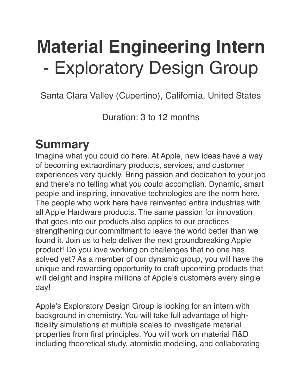# **Material Engineering Intern** - Exploratory Design Group

Santa Clara Valley (Cupertino), California, United States

Duration: 3 to 12 months

#### **Summary**

Imagine what you could do here. At Apple, new ideas have a way of becoming extraordinary products, services, and customer experiences very quickly. Bring passion and dedication to your job and there's no telling what you could accomplish. Dynamic, smart people and inspiring, innovative technologies are the norm here. The people who work here have reinvented entire industries with all Apple Hardware products. The same passion for innovation that goes into our products also applies to our practices strengthening our commitment to leave the world better than we found it. Join us to help deliver the next groundbreaking Apple product! Do you love working on challenges that no one has solved yet? As a member of our dynamic group, you will have the unique and rewarding opportunity to craft upcoming products that will delight and inspire millions of Apple's customers every single day!

Apple's Exploratory Design Group is looking for an intern with background in chemistry. You will take full advantage of highfidelity simulations at multiple scales to investigate material properties from first principles. You will work on material R&D including theoretical study, atomistic modeling, and collaborating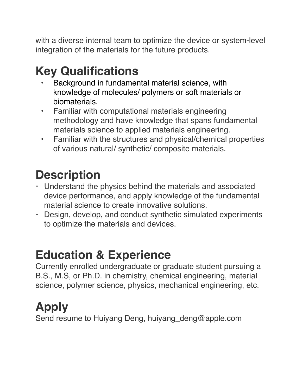with a diverse internal team to optimize the device or system-level integration of the materials for the future products.

## **Key Qualifications**

- Background in fundamental material science, with knowledge of molecules/ polymers or soft materials or biomaterials.
- Familiar with computational materials engineering methodology and have knowledge that spans fundamental materials science to applied materials engineering.
- Familiar with the structures and physical/chemical properties of various natural/ synthetic/ composite materials.

### **Description**

- Understand the physics behind the materials and associated device performance, and apply knowledge of the fundamental material science to create innovative solutions.
- Design, develop, and conduct synthetic simulated experiments to optimize the materials and devices.

### **Education & Experience**

Currently enrolled undergraduate or graduate student pursuing a B.S., M.S, or Ph.D. in chemistry, chemical engineering, material science, polymer science, physics, mechanical engineering, etc.

### **Apply**

Send resume to Huiyang Deng, huiyang\_deng@apple.com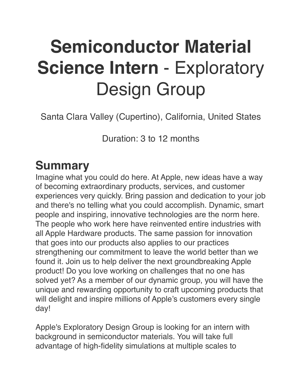# **Semiconductor Material Science Intern** - Exploratory Design Group

Santa Clara Valley (Cupertino), California, United States

Duration: 3 to 12 months

#### **Summary**

Imagine what you could do here. At Apple, new ideas have a way of becoming extraordinary products, services, and customer experiences very quickly. Bring passion and dedication to your job and there's no telling what you could accomplish. Dynamic, smart people and inspiring, innovative technologies are the norm here. The people who work here have reinvented entire industries with all Apple Hardware products. The same passion for innovation that goes into our products also applies to our practices strengthening our commitment to leave the world better than we found it. Join us to help deliver the next groundbreaking Apple product! Do you love working on challenges that no one has solved yet? As a member of our dynamic group, you will have the unique and rewarding opportunity to craft upcoming products that will delight and inspire millions of Apple's customers every single day!

Apple's Exploratory Design Group is looking for an intern with background in semiconductor materials. You will take full advantage of high-fidelity simulations at multiple scales to